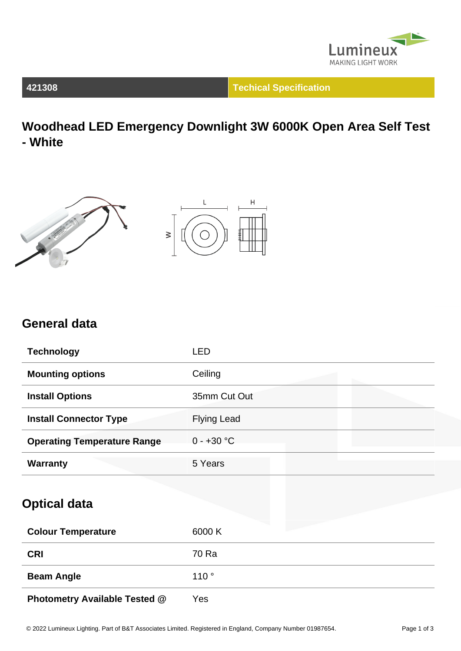

**421308 Techical Specification**

**Woodhead LED Emergency Downlight 3W 6000K Open Area Self Test - White**





### **General data**

| <b>Technology</b>                  | LED                |
|------------------------------------|--------------------|
| <b>Mounting options</b>            | Ceiling            |
| <b>Install Options</b>             | 35mm Cut Out       |
| <b>Install Connector Type</b>      | <b>Flying Lead</b> |
| <b>Operating Temperature Range</b> | $0 - +30$ °C       |
| <b>Warranty</b>                    | 5 Years            |

### **Optical data**

| <b>Colour Temperature</b>            | 6000 K |
|--------------------------------------|--------|
| <b>CRI</b>                           | 70 Ra  |
| <b>Beam Angle</b>                    | 110°   |
| <b>Photometry Available Tested @</b> | Yes    |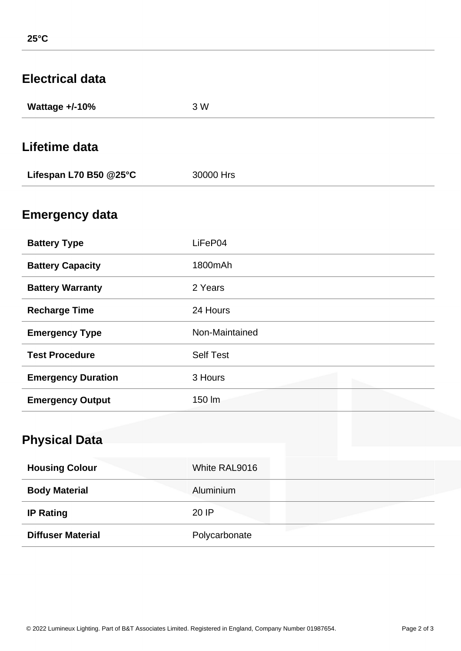| <b>Electrical data</b>    |                  |
|---------------------------|------------------|
| Wattage +/-10%            | 3 W              |
| Lifetime data             |                  |
| Lifespan L70 B50 @25°C    | 30000 Hrs        |
| <b>Emergency data</b>     |                  |
| <b>Battery Type</b>       | LiFeP04          |
| <b>Battery Capacity</b>   | 1800mAh          |
| <b>Battery Warranty</b>   | 2 Years          |
| <b>Recharge Time</b>      | 24 Hours         |
| <b>Emergency Type</b>     | Non-Maintained   |
| <b>Test Procedure</b>     | <b>Self Test</b> |
| <b>Emergency Duration</b> | 3 Hours          |
| <b>Emergency Output</b>   | 150 lm           |
| <b>Physical Data</b>      |                  |
| <b>Housing Colour</b>     | White RAL9016    |
| <b>Body Material</b>      | Aluminium        |
| <b>IP Rating</b>          | 20 IP            |
| <b>Diffuser Material</b>  | Polycarbonate    |